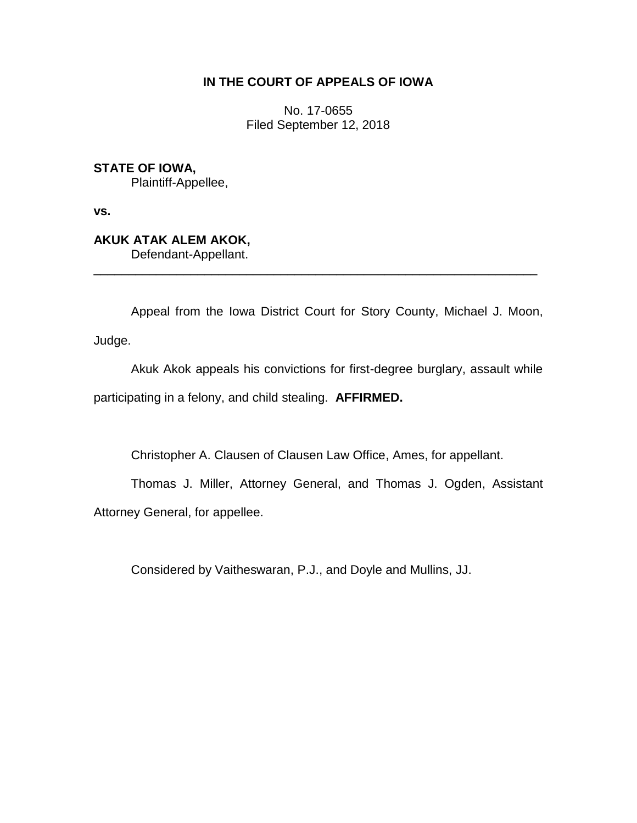## **IN THE COURT OF APPEALS OF IOWA**

No. 17-0655 Filed September 12, 2018

## **STATE OF IOWA,**

Plaintiff-Appellee,

**vs.**

## **AKUK ATAK ALEM AKOK,**

Defendant-Appellant.

Appeal from the Iowa District Court for Story County, Michael J. Moon, Judge.

\_\_\_\_\_\_\_\_\_\_\_\_\_\_\_\_\_\_\_\_\_\_\_\_\_\_\_\_\_\_\_\_\_\_\_\_\_\_\_\_\_\_\_\_\_\_\_\_\_\_\_\_\_\_\_\_\_\_\_\_\_\_\_\_

Akuk Akok appeals his convictions for first-degree burglary, assault while participating in a felony, and child stealing. **AFFIRMED.**

Christopher A. Clausen of Clausen Law Office, Ames, for appellant.

Thomas J. Miller, Attorney General, and Thomas J. Ogden, Assistant Attorney General, for appellee.

Considered by Vaitheswaran, P.J., and Doyle and Mullins, JJ.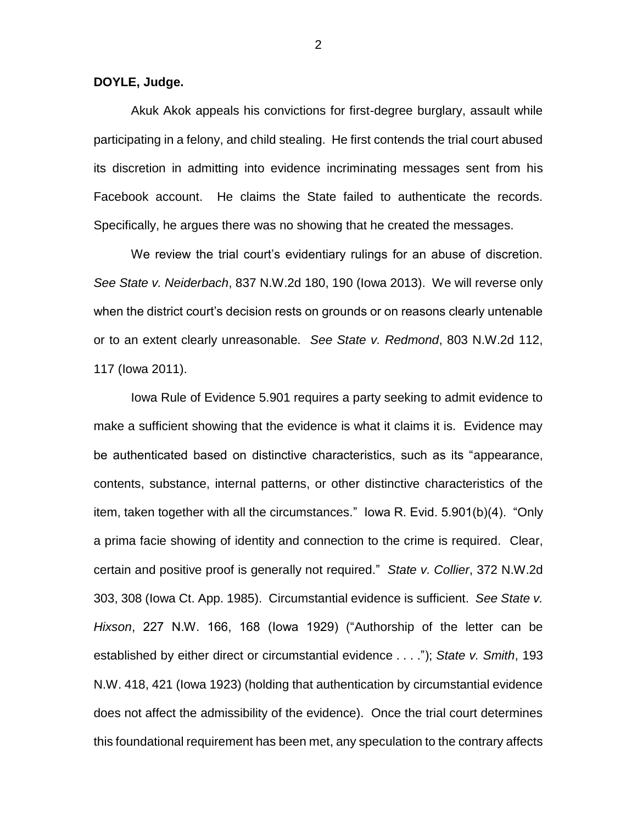**DOYLE, Judge.**

Akuk Akok appeals his convictions for first-degree burglary, assault while participating in a felony, and child stealing. He first contends the trial court abused its discretion in admitting into evidence incriminating messages sent from his Facebook account. He claims the State failed to authenticate the records. Specifically, he argues there was no showing that he created the messages.

We review the trial court's evidentiary rulings for an abuse of discretion. *See State v. Neiderbach*, 837 N.W.2d 180, 190 (Iowa 2013). We will reverse only when the district court's decision rests on grounds or on reasons clearly untenable or to an extent clearly unreasonable. *See State v. Redmond*, 803 N.W.2d 112, 117 (Iowa 2011).

Iowa Rule of Evidence 5.901 requires a party seeking to admit evidence to make a sufficient showing that the evidence is what it claims it is. Evidence may be authenticated based on distinctive characteristics, such as its "appearance, contents, substance, internal patterns, or other distinctive characteristics of the item, taken together with all the circumstances." Iowa R. Evid. 5.901(b)(4). "Only a prima facie showing of identity and connection to the crime is required. Clear, certain and positive proof is generally not required." *State v. Collier*, 372 N.W.2d 303, 308 (Iowa Ct. App. 1985). Circumstantial evidence is sufficient. *See State v. Hixson*, 227 N.W. 166, 168 (Iowa 1929) ("Authorship of the letter can be established by either direct or circumstantial evidence . . . ."); *State v. Smith*, 193 N.W. 418, 421 (Iowa 1923) (holding that authentication by circumstantial evidence does not affect the admissibility of the evidence). Once the trial court determines this foundational requirement has been met, any speculation to the contrary affects

2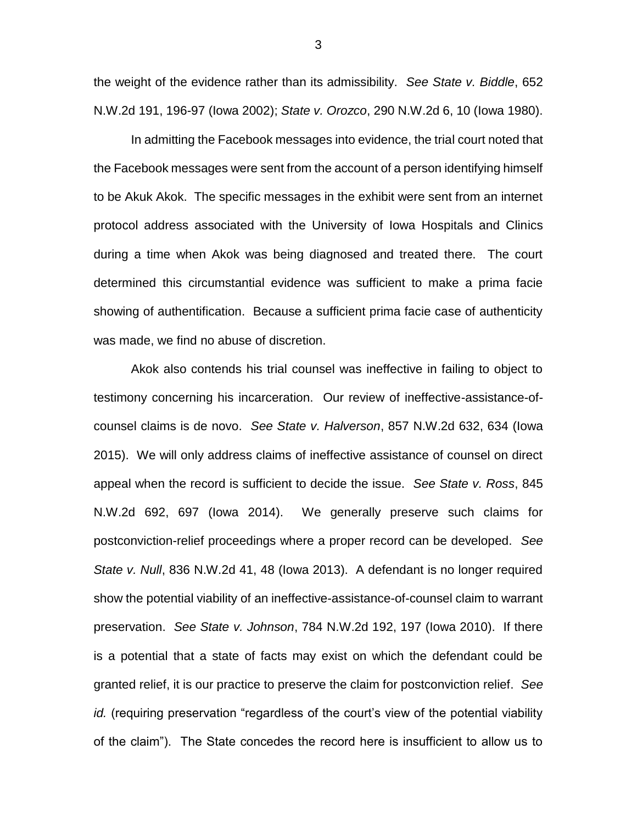the weight of the evidence rather than its admissibility. *See State v. Biddle*, 652 N.W.2d 191, 196-97 (Iowa 2002); *State v. Orozco*, 290 N.W.2d 6, 10 (Iowa 1980).

In admitting the Facebook messages into evidence, the trial court noted that the Facebook messages were sent from the account of a person identifying himself to be Akuk Akok. The specific messages in the exhibit were sent from an internet protocol address associated with the University of Iowa Hospitals and Clinics during a time when Akok was being diagnosed and treated there. The court determined this circumstantial evidence was sufficient to make a prima facie showing of authentification. Because a sufficient prima facie case of authenticity was made, we find no abuse of discretion.

Akok also contends his trial counsel was ineffective in failing to object to testimony concerning his incarceration. Our review of ineffective-assistance-ofcounsel claims is de novo. *See State v. Halverson*, 857 N.W.2d 632, 634 (Iowa 2015). We will only address claims of ineffective assistance of counsel on direct appeal when the record is sufficient to decide the issue. *See State v. Ross*, 845 N.W.2d 692, 697 (Iowa 2014). We generally preserve such claims for postconviction-relief proceedings where a proper record can be developed. *See State v. Null*, 836 N.W.2d 41, 48 (Iowa 2013). A defendant is no longer required show the potential viability of an ineffective-assistance-of-counsel claim to warrant preservation. *See State v. Johnson*, 784 N.W.2d 192, 197 (Iowa 2010). If there is a potential that a state of facts may exist on which the defendant could be granted relief, it is our practice to preserve the claim for postconviction relief. *See id.* (requiring preservation "regardless of the court's view of the potential viability of the claim"). The State concedes the record here is insufficient to allow us to

3